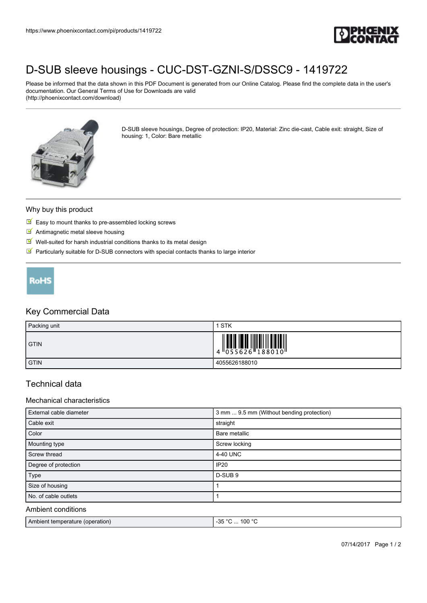

# [D-SUB sleeve housings - CUC-DST-GZNI-S/DSSC9 - 1419722](https://www.phoenixcontact.com/pi/products/1419722)

Please be informed that the data shown in this PDF Document is generated from our Online Catalog. Please find the complete data in the user's documentation. Our General Terms of Use for Downloads are valid (http://phoenixcontact.com/download)



D-SUB sleeve housings, Degree of protection: IP20, Material: Zinc die-cast, Cable exit: straight, Size of housing: 1, Color: Bare metallic

#### Why buy this product

- $\triangleright$  Easy to mount thanks to pre-assembled locking screws
- **M** Antimagnetic metal sleeve housing
- $\blacksquare$  Well-suited for harsh industrial conditions thanks to its metal design
- $\blacksquare$  Particularly suitable for D-SUB connectors with special contacts thanks to large interior



## Key Commercial Data

| Packing unit | STK                                                        |
|--------------|------------------------------------------------------------|
| <b>GTIN</b>  | <b>II III II III III IIIIII IIIIIII</b><br>4 055626 188010 |
| <b>GTIN</b>  | 4055626188010                                              |

## Technical data

#### Mechanical characteristics

| External cable diameter | 3 mm  9.5 mm (Without bending protection) |
|-------------------------|-------------------------------------------|
| Cable exit              | straight                                  |
| Color                   | Bare metallic                             |
| Mounting type           | Screw locking                             |
| Screw thread            | 4-40 UNC                                  |
| Degree of protection    | <b>IP20</b>                               |
| Type                    | D-SUB <sub>9</sub>                        |
| Size of housing         |                                           |
| No. of cable outlets    |                                           |
| Ambient conditions      |                                           |

| Ambient temperature (operation) | م∘ ع⊳.<br>. 100 $\degree$ C<br>- Ju<br>$\cdots$ |
|---------------------------------|-------------------------------------------------|